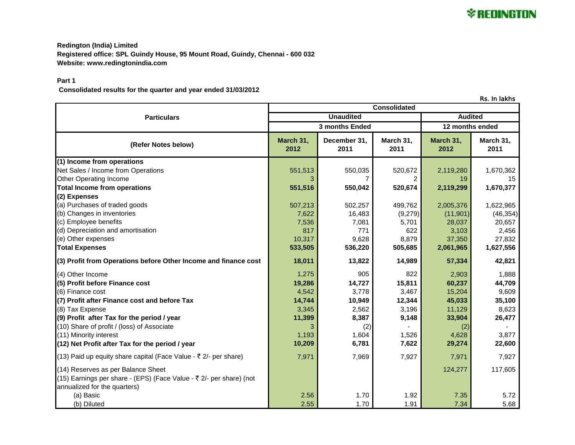**Redington (India) Limited Registered office: SPL Guindy House, 95 Mount Road, Guindy, Chennai - 600 032 Website: www.redingtonindia.com**

## **Part 1**

 **Consolidated results for the quarter and year ended 31/03/2012**

Rs. In lakhs

|                                                                     | <b>Consolidated</b> |                      |                   |                   |                   |
|---------------------------------------------------------------------|---------------------|----------------------|-------------------|-------------------|-------------------|
| <b>Particulars</b>                                                  | <b>Unaudited</b>    |                      |                   | <b>Audited</b>    |                   |
|                                                                     | 3 months Ended      |                      |                   | 12 months ended   |                   |
| (Refer Notes below)                                                 | March 31,<br>2012   | December 31,<br>2011 | March 31,<br>2011 | March 31,<br>2012 | March 31,<br>2011 |
| (1) Income from operations                                          |                     |                      |                   |                   |                   |
| Net Sales / Income from Operations                                  | 551,513             | 550,035              | 520,672           | 2,119,280         | 1,670,362         |
| Other Operating Income                                              | 3                   |                      |                   | 19                | 15                |
| <b>Total Income from operations</b>                                 | 551,516             | 550,042              | 520,674           | 2,119,299         | 1,670,377         |
| (2) Expenses                                                        |                     |                      |                   |                   |                   |
| (a) Purchases of traded goods                                       | 507,213             | 502,257              | 499,762           | 2,005,376         | 1,622,965         |
| (b) Changes in inventories                                          | 7,622               | 16,483               | (9,279)           | (11,901)          | (46, 354)         |
| (c) Employee benefits                                               | 7,536               | 7,081                | 5,701             | 28,037            | 20,657            |
| (d) Depreciation and amortisation                                   | 817                 | 771                  | 622               | 3,103             | 2,456             |
| (e) Other expenses                                                  | 10,317              | 9,628                | 8,879             | 37,350            | 27,832            |
| <b>Total Expenses</b>                                               | 533,505             | 536,220              | 505,685           | 2,061,965         | 1,627,556         |
| (3) Profit from Operations before Other Income and finance cost     | 18,011              | 13,822               | 14,989            | 57,334            | 42,821            |
| (4) Other Income                                                    | 1,275               | 905                  | 822               | 2,903             | 1,888             |
| (5) Profit before Finance cost                                      | 19,286              | 14,727               | 15,811            | 60,237            | 44,709            |
| (6) Finance cost                                                    | 4,542               | 3,778                | 3,467             | 15,204            | 9,609             |
| (7) Profit after Finance cost and before Tax                        | 14,744              | 10,949               | 12,344            | 45,033            | 35,100            |
| (8) Tax Expense                                                     | 3,345               | 2,562                | 3,196             | 11,129            | 8,623             |
| (9) Profit after Tax for the period / year                          | 11,399              | 8,387                | 9,148             | 33,904            | 26,477            |
| (10) Share of profit / (loss) of Associate                          | 3                   | (2)                  |                   | (2)               |                   |
| (11) Minority interest                                              | 1,193               | 1,604                | 1,526             | 4,628             | 3,877             |
| (12) Net Profit after Tax for the period / year                     | 10,209              | 6,781                | 7,622             | 29,274            | 22,600            |
| (13) Paid up equity share capital (Face Value - ₹ 2/- per share)    | 7,971               | 7,969                | 7,927             | 7,971             | 7,927             |
| (14) Reserves as per Balance Sheet                                  |                     |                      |                   | 124,277           | 117,605           |
| (15) Earnings per share - (EPS) (Face Value - ₹ 2/- per share) (not |                     |                      |                   |                   |                   |
| annualized for the quarters)                                        |                     |                      |                   |                   |                   |
| (a) Basic                                                           | 2.56                | 1.70                 | 1.92              | 7.35              | 5.72              |
| (b) Diluted                                                         | 2.55                | 1.70                 | 1.91              | 7.34              | 5.68              |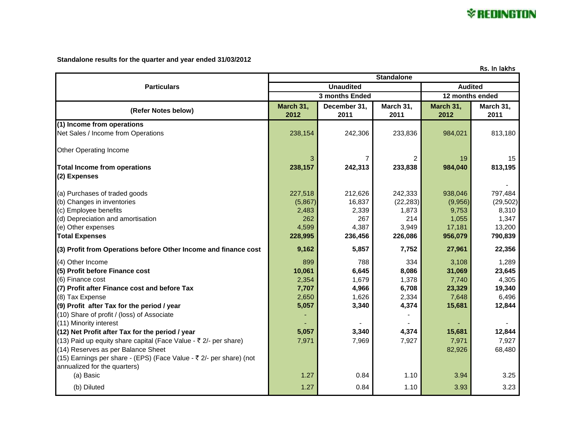

## **Standalone results for the quarter and year ended 31/03/2012**

| Rs. In lakhs                                                                                                                                                                                                                                                                                                                                                                                                                                                                                                                        |                                                                     |                                                                    |                                                                    |                                                                                    |                                                                                    |
|-------------------------------------------------------------------------------------------------------------------------------------------------------------------------------------------------------------------------------------------------------------------------------------------------------------------------------------------------------------------------------------------------------------------------------------------------------------------------------------------------------------------------------------|---------------------------------------------------------------------|--------------------------------------------------------------------|--------------------------------------------------------------------|------------------------------------------------------------------------------------|------------------------------------------------------------------------------------|
|                                                                                                                                                                                                                                                                                                                                                                                                                                                                                                                                     | <b>Standalone</b>                                                   |                                                                    |                                                                    |                                                                                    |                                                                                    |
| <b>Particulars</b>                                                                                                                                                                                                                                                                                                                                                                                                                                                                                                                  |                                                                     | <b>Unaudited</b>                                                   |                                                                    | <b>Audited</b>                                                                     |                                                                                    |
|                                                                                                                                                                                                                                                                                                                                                                                                                                                                                                                                     | 12 months ended<br>3 months Ended                                   |                                                                    |                                                                    |                                                                                    |                                                                                    |
| (Refer Notes below)                                                                                                                                                                                                                                                                                                                                                                                                                                                                                                                 | March 31,<br>2012                                                   | December 31,<br>2011                                               | March 31,<br>2011                                                  | March 31,<br>2012                                                                  | March 31,<br>2011                                                                  |
| (1) Income from operations<br>Net Sales / Income from Operations                                                                                                                                                                                                                                                                                                                                                                                                                                                                    | 238,154                                                             | 242,306                                                            | 233,836                                                            | 984,021                                                                            | 813,180                                                                            |
| Other Operating Income                                                                                                                                                                                                                                                                                                                                                                                                                                                                                                              | 3                                                                   | 7                                                                  | 2                                                                  | 19                                                                                 | 15                                                                                 |
| <b>Total Income from operations</b><br>(2) Expenses                                                                                                                                                                                                                                                                                                                                                                                                                                                                                 | 238,157                                                             | 242,313                                                            | 233,838                                                            | 984,040                                                                            | 813,195                                                                            |
| (a) Purchases of traded goods<br>(b) Changes in inventories<br>(c) Employee benefits<br>(d) Depreciation and amortisation<br>(e) Other expenses<br><b>Total Expenses</b>                                                                                                                                                                                                                                                                                                                                                            | 227,518<br>(5,867)<br>2,483<br>262<br>4,599<br>228,995              | 212,626<br>16,837<br>2,339<br>267<br>4,387<br>236,456              | 242,333<br>(22, 283)<br>1,873<br>214<br>3,949<br>226,086           | 938,046<br>(9,956)<br>9,753<br>1,055<br>17,181<br>956,079                          | 797,484<br>(29, 502)<br>8,310<br>1,347<br>13,200<br>790,839                        |
| (3) Profit from Operations before Other Income and finance cost                                                                                                                                                                                                                                                                                                                                                                                                                                                                     | 9,162                                                               | 5,857                                                              | 7,752                                                              | 27,961                                                                             | 22,356                                                                             |
| (4) Other Income<br>(5) Profit before Finance cost<br>(6) Finance cost<br>(7) Profit after Finance cost and before Tax<br>(8) Tax Expense<br>(9) Profit after Tax for the period / year<br>(10) Share of profit / (loss) of Associate<br>(11) Minority interest<br>(12) Net Profit after Tax for the period / year<br>(13) Paid up equity share capital (Face Value - ₹ 2/- per share)<br>(14) Reserves as per Balance Sheet<br>(15) Earnings per share - (EPS) (Face Value - ₹ 2/- per share) (not<br>annualized for the quarters) | 899<br>10,061<br>2,354<br>7,707<br>2,650<br>5,057<br>5,057<br>7,971 | 788<br>6,645<br>1,679<br>4,966<br>1,626<br>3,340<br>3,340<br>7,969 | 334<br>8,086<br>1,378<br>6,708<br>2,334<br>4,374<br>4,374<br>7,927 | 3,108<br>31,069<br>7,740<br>23,329<br>7,648<br>15,681<br>15,681<br>7,971<br>82,926 | 1,289<br>23,645<br>4,305<br>19,340<br>6,496<br>12,844<br>12,844<br>7,927<br>68,480 |
| (a) Basic<br>(b) Diluted                                                                                                                                                                                                                                                                                                                                                                                                                                                                                                            | 1.27<br>1.27                                                        | 0.84<br>0.84                                                       | 1.10<br>1.10                                                       | 3.94<br>3.93                                                                       | 3.25<br>3.23                                                                       |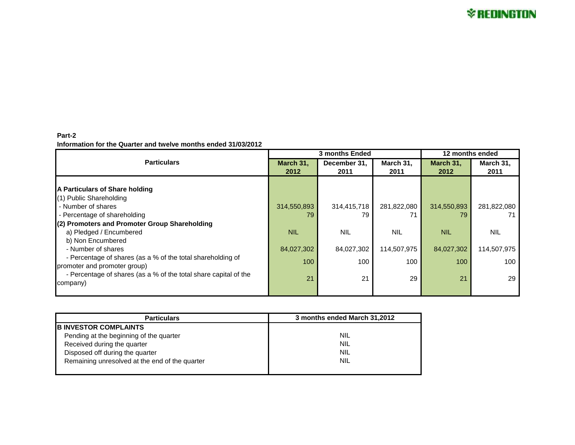## **Part-2 Information for the Quarter and twelve months ended 31/03/2012**

|                                                                  | 3 months Ended |              |             | 12 months ended |             |
|------------------------------------------------------------------|----------------|--------------|-------------|-----------------|-------------|
| <b>Particulars</b>                                               | March 31.      | December 31. | March 31,   | March 31,       | March 31,   |
|                                                                  | 2012           | 2011         | 2011        | 2012            | 2011        |
|                                                                  |                |              |             |                 |             |
| A Particulars of Share holding                                   |                |              |             |                 |             |
| (1) Public Shareholding                                          |                |              |             |                 |             |
| - Number of shares                                               | 314,550,893    | 314,415,718  | 281,822,080 | 314,550,893     | 281,822,080 |
| - Percentage of shareholding                                     | 79             | 79           |             | 79              |             |
| (2) Promoters and Promoter Group Shareholding                    |                |              |             |                 |             |
| a) Pledged / Encumbered                                          | <b>NIL</b>     | <b>NIL</b>   | <b>NIL</b>  | <b>NIL</b>      | <b>NIL</b>  |
| b) Non Encumbered                                                |                |              |             |                 |             |
| - Number of shares                                               | 84,027,302     | 84,027,302   | 114,507,975 | 84,027,302      | 114,507,975 |
| - Percentage of shares (as a % of the total shareholding of      | 100            | 100          |             |                 |             |
| promoter and promoter group)                                     |                |              | 100         | 100             | 100         |
| - Percentage of shares (as a % of the total share capital of the | 21             | 21           | 29          | 21              | 29          |
| company)                                                         |                |              |             |                 |             |
|                                                                  |                |              |             |                 |             |

| <b>Particulars</b>                             | 3 months ended March 31,2012 |
|------------------------------------------------|------------------------------|
| <b>B INVESTOR COMPLAINTS</b>                   |                              |
| Pending at the beginning of the quarter        | <b>NIL</b>                   |
| Received during the quarter                    | <b>NIL</b>                   |
| Disposed off during the quarter                | <b>NIL</b>                   |
| Remaining unresolved at the end of the quarter | <b>NIL</b>                   |
|                                                |                              |